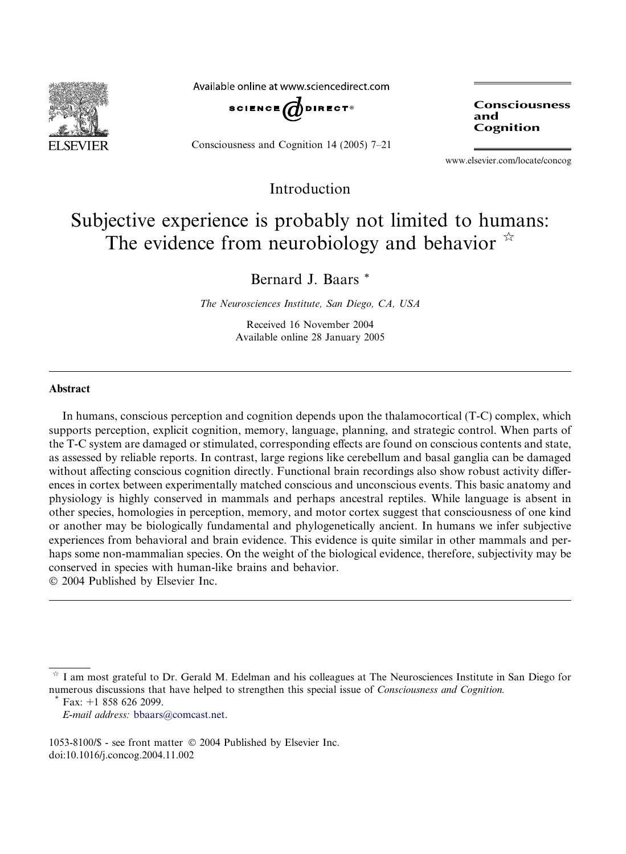

Available online at www.sciencedirect.com



Consciousness and Cognition 14 (2005) 7–21

Consciousness and Cognition

www.elsevier.com/locate/concog

Introduction

# Subjective experience is probably not limited to humans: The evidence from neurobiology and behavior  $\vec{r}$

Bernard J. Baars \*

The Neurosciences Institute, San Diego, CA, USA

Received 16 November 2004 Available online 28 January 2005

#### Abstract

In humans, conscious perception and cognition depends upon the thalamocortical (T-C) complex, which supports perception, explicit cognition, memory, language, planning, and strategic control. When parts of the T-C system are damaged or stimulated, corresponding effects are found on conscious contents and state, as assessed by reliable reports. In contrast, large regions like cerebellum and basal ganglia can be damaged without affecting conscious cognition directly. Functional brain recordings also show robust activity differences in cortex between experimentally matched conscious and unconscious events. This basic anatomy and physiology is highly conserved in mammals and perhaps ancestral reptiles. While language is absent in other species, homologies in perception, memory, and motor cortex suggest that consciousness of one kind or another may be biologically fundamental and phylogenetically ancient. In humans we infer subjective experiences from behavioral and brain evidence. This evidence is quite similar in other mammals and perhaps some non-mammalian species. On the weight of the biological evidence, therefore, subjectivity may be conserved in species with human-like brains and behavior.

 $© 2004$  Published by Elsevier Inc.

E-mail address: [bbaars@comcast.net](mailto:bbaars@comcast.net).

1053-8100/\$ - see front matter © 2004 Published by Elsevier Inc. doi:10.1016/j.concog.2004.11.002

 $\dot{\gamma}$  I am most grateful to Dr. Gerald M. Edelman and his colleagues at The Neurosciences Institute in San Diego for numerous discussions that have helped to strengthen this special issue of *Consciousness and Cognition*. \* Fax: +1 858 626 2099.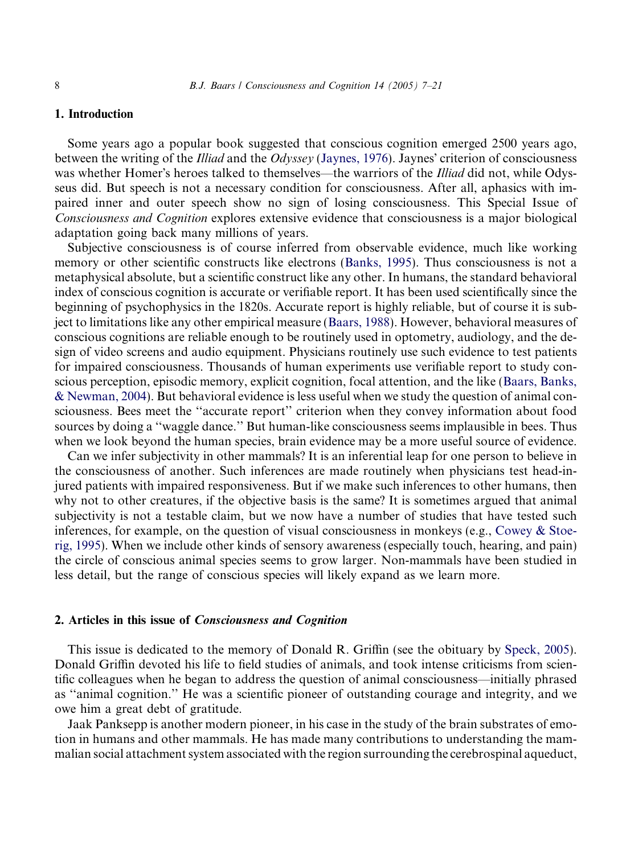# 1. Introduction

Some years ago a popular book suggested that conscious cognition emerged 2500 years ago, between the writing of the *Illiad* and the *Odyssey* [\(Jaynes,](#page-13-0) 1976). Jaynes' criterion of consciousness was whether Homer's heroes talked to themselves—the warriors of the Illiad did not, while Odysseus did. But speech is not a necessary condition for consciousness. After all, aphasics with impaired inner and outer speech show no sign of losing consciousness. This Special Issue of Consciousness and Cognition explores extensive evidence that consciousness is a major biological adaptation going back many millions of years.

Subjective consciousness is of course inferred from observable evidence, much like working memory or other scientific constructs like electrons ([Banks,](#page-13-0) 1995). Thus consciousness is not a metaphysical absolute, but a scientific construct like any other. In humans, the standard behavioral index of conscious cognition is accurate or verifiable report. It has been used scientifically since the beginning of psychophysics in the 1820s. Accurate report is highly reliable, but of course it is subject to limitations like any other empirical measure [\(Baars,](#page-12-0) 1988). However, behavioral measures of conscious cognitions are reliable enough to be routinely used in optometry, audiology, and the design of video screens and audio equipment. Physicians routinely use such evidence to test patients for impaired consciousness. Thousands of human experiments use verifiable report to study conscious perception, episodic memory, explicit cognition, focal attention, and the like (Baars, [Banks,](#page-12-0) & [Newman,](#page-12-0) 2004). But behavioral evidence is less useful when we study the question of animal consciousness. Bees meet the ''accurate report'' criterion when they convey information about food sources by doing a ''waggle dance.'' But human-like consciousness seems implausible in bees. Thus when we look beyond the human species, brain evidence may be a more useful source of evidence.

Can we infer subjectivity in other mammals? It is an inferential leap for one person to believe in the consciousness of another. Such inferences are made routinely when physicians test head-injured patients with impaired responsiveness. But if we make such inferences to other humans, then why not to other creatures, if the objective basis is the same? It is sometimes argued that animal subjectivity is not a testable claim, but we now have a number of studies that have tested such inferences, for example, on the question of visual consciousness in monkeys (e.g., [Cowey](#page-13-0)  $\&$  Stoerig, [1995\)](#page-13-0). When we include other kinds of sensory awareness (especially touch, hearing, and pain) the circle of conscious animal species seems to grow larger. Non-mammals have been studied in less detail, but the range of conscious species will likely expand as we learn more.

#### 2. Articles in this issue of Consciousness and Cognition

This issue is dedicated to the memory of Donald R. Griffin (see the obituary by [Speck,](#page-13-0) 2005). Donald Griffin devoted his life to field studies of animals, and took intense criticisms from scientific colleagues when he began to address the question of animal consciousness—initially phrased as ''animal cognition.'' He was a scientific pioneer of outstanding courage and integrity, and we owe him a great debt of gratitude.

Jaak Panksepp is another modern pioneer, in his case in the study of the brain substrates of emotion in humans and other mammals. He has made many contributions to understanding the mammalian social attachment system associated with the region surrounding the cerebrospinal aqueduct,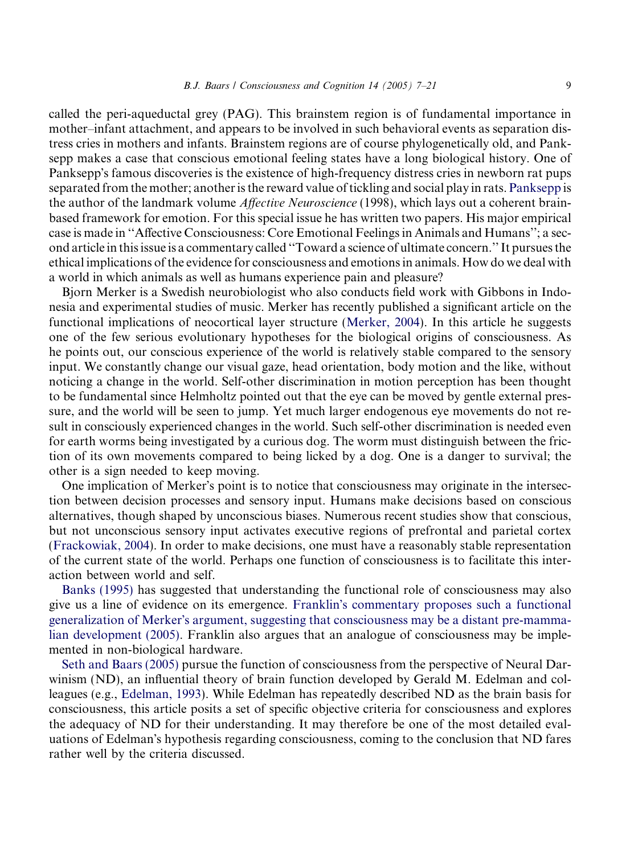called the peri-aqueductal grey (PAG). This brainstem region is of fundamental importance in mother–infant attachment, and appears to be involved in such behavioral events as separation distress cries in mothers and infants. Brainstem regions are of course phylogenetically old, and Panksepp makes a case that conscious emotional feeling states have a long biological history. One of Panksepp's famous discoveries is the existence of high-frequency distress cries in newborn rat pups separated from the mother; another is the reward value of tickling and social play in rats. [Panksepp](#page-13-0) is the author of the landmark volume *Affective Neuroscience* (1998), which lays out a coherent brainbased framework for emotion. For this special issue he has written two papers. His major empirical case is made in ''Affective Consciousness: Core Emotional Feelingsin Animals and Humans''; a second article in thisissue is a commentary called ''Toward a science of ultimate concern.''It pursuesthe ethical implications of the evidence for consciousness and emotionsin animals. How do we deal with a world in which animals as well as humans experience pain and pleasure?

Bjorn Merker is a Swedish neurobiologist who also conducts field work with Gibbons in Indonesia and experimental studies of music. Merker has recently published a significant article on the functional implications of neocortical layer structure [\(Merker,](#page-13-0) 2004). In this article he suggests one of the few serious evolutionary hypotheses for the biological origins of consciousness. As he points out, our conscious experience of the world is relatively stable compared to the sensory input. We constantly change our visual gaze, head orientation, body motion and the like, without noticing a change in the world. Self-other discrimination in motion perception has been thought to be fundamental since Helmholtz pointed out that the eye can be moved by gentle external pressure, and the world will be seen to jump. Yet much larger endogenous eye movements do not result in consciously experienced changes in the world. Such self-other discrimination is needed even for earth worms being investigated by a curious dog. The worm must distinguish between the friction of its own movements compared to being licked by a dog. One is a danger to survival; the other is a sign needed to keep moving.

One implication of Merker's point is to notice that consciousness may originate in the intersection between decision processes and sensory input. Humans make decisions based on conscious alternatives, though shaped by unconscious biases. Numerous recent studies show that conscious, but not unconscious sensory input activates executive regions of prefrontal and parietal cortex [\(Frackowiak,](#page-13-0) 2004). In order to make decisions, one must have a reasonably stable representation of the current state of the world. Perhaps one function of consciousness is to facilitate this interaction between world and self.

Banks [\(1995\)](#page-13-0) has suggested that understanding the functional role of consciousness may also give us a line of evidence on its emergence. Franklin's [commentary](#page-13-0) proposes such a functional [generalization](#page-13-0) of Merker's argument, suggesting that consciousness may be a distant pre-mammalian [development](#page-13-0) (2005). Franklin also argues that an analogue of consciousness may be implemented in non-biological hardware.

Seth and Baars [\(2005\)](#page-13-0) pursue the function of consciousness from the perspective of Neural Darwinism (ND), an influential theory of brain function developed by Gerald M. Edelman and colleagues (e.g., [Edelman,](#page-13-0) 1993). While Edelman has repeatedly described ND as the brain basis for consciousness, this article posits a set of specific objective criteria for consciousness and explores the adequacy of ND for their understanding. It may therefore be one of the most detailed evaluations of Edelman's hypothesis regarding consciousness, coming to the conclusion that ND fares rather well by the criteria discussed.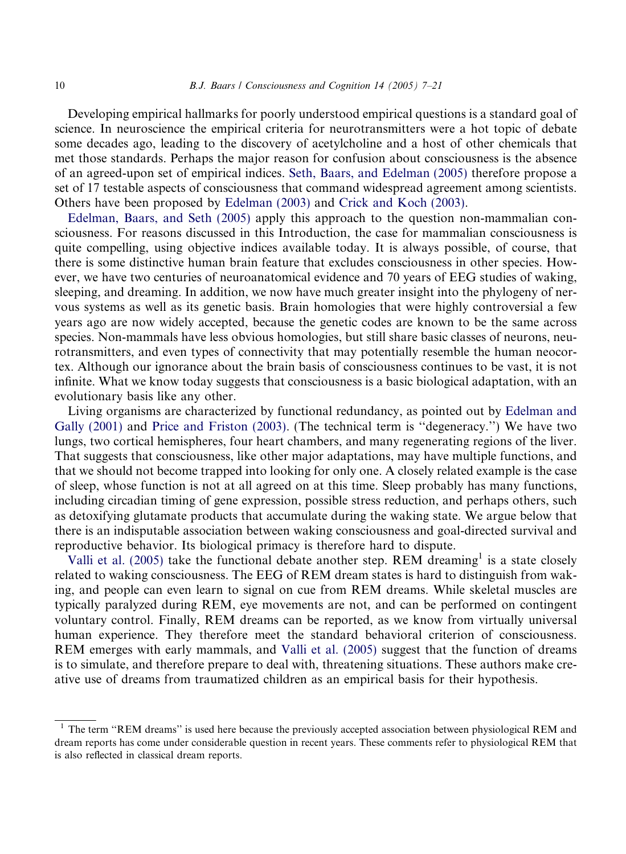Developing empirical hallmarks for poorly understood empirical questions is a standard goal of science. In neuroscience the empirical criteria for neurotransmitters were a hot topic of debate some decades ago, leading to the discovery of acetylcholine and a host of other chemicals that met those standards. Perhaps the major reason for confusion about consciousness is the absence of an agreed-upon set of empirical indices. Seth, Baars, and [Edelman](#page-13-0) (2005) therefore propose a set of 17 testable aspects of consciousness that command widespread agreement among scientists. Others have been proposed by [Edelman](#page-13-0) (2003) and Crick and Koch [\(2003\)](#page-13-0).

[Edelman,](#page-13-0) Baars, and Seth (2005) apply this approach to the question non-mammalian consciousness. For reasons discussed in this Introduction, the case for mammalian consciousness is quite compelling, using objective indices available today. It is always possible, of course, that there is some distinctive human brain feature that excludes consciousness in other species. However, we have two centuries of neuroanatomical evidence and 70 years of EEG studies of waking, sleeping, and dreaming. In addition, we now have much greater insight into the phylogeny of nervous systems as well as its genetic basis. Brain homologies that were highly controversial a few years ago are now widely accepted, because the genetic codes are known to be the same across species. Non-mammals have less obvious homologies, but still share basic classes of neurons, neurotransmitters, and even types of connectivity that may potentially resemble the human neocortex. Although our ignorance about the brain basis of consciousness continues to be vast, it is not infinite. What we know today suggests that consciousness is a basic biological adaptation, with an evolutionary basis like any other.

Living organisms are characterized by functional redundancy, as pointed out by [Edelman](#page-13-0) and Gally [\(2001\)](#page-13-0) and Price and [Friston](#page-13-0) (2003). (The technical term is ''degeneracy.'') We have two lungs, two cortical hemispheres, four heart chambers, and many regenerating regions of the liver. That suggests that consciousness, like other major adaptations, may have multiple functions, and that we should not become trapped into looking for only one. A closely related example is the case of sleep, whose function is not at all agreed on at this time. Sleep probably has many functions, including circadian timing of gene expression, possible stress reduction, and perhaps others, such as detoxifying glutamate products that accumulate during the waking state. We argue below that there is an indisputable association between waking consciousness and goal-directed survival and reproductive behavior. Its biological primacy is therefore hard to dispute.

Valli et al. [\(2005\)](#page-14-0) take the functional debate another step. REM dreaming<sup>1</sup> is a state closely related to waking consciousness. The EEG of REM dream states is hard to distinguish from waking, and people can even learn to signal on cue from REM dreams. While skeletal muscles are typically paralyzed during REM, eye movements are not, and can be performed on contingent voluntary control. Finally, REM dreams can be reported, as we know from virtually universal human experience. They therefore meet the standard behavioral criterion of consciousness. REM emerges with early mammals, and Valli et al. [\(2005\)](#page-14-0) suggest that the function of dreams is to simulate, and therefore prepare to deal with, threatening situations. These authors make creative use of dreams from traumatized children as an empirical basis for their hypothesis.

 $<sup>1</sup>$  The term "REM dreams" is used here because the previously accepted association between physiological REM and</sup> dream reports has come under considerable question in recent years. These comments refer to physiological REM that is also reflected in classical dream reports.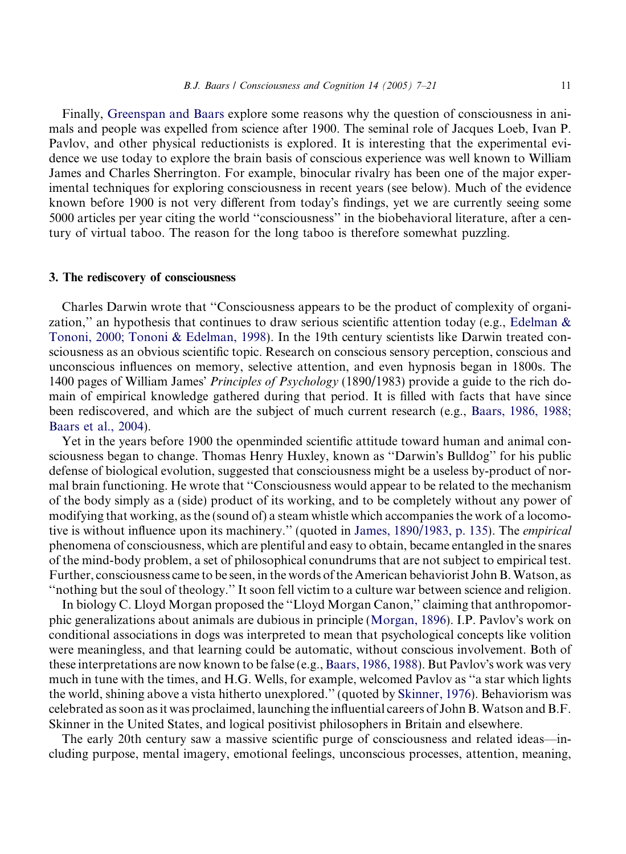Finally, [Greenspan](#page-13-0) and Baars explore some reasons why the question of consciousness in animals and people was expelled from science after 1900. The seminal role of Jacques Loeb, Ivan P. Pavlov, and other physical reductionists is explored. It is interesting that the experimental evidence we use today to explore the brain basis of conscious experience was well known to William James and Charles Sherrington. For example, binocular rivalry has been one of the major experimental techniques for exploring consciousness in recent years (see below). Much of the evidence known before 1900 is not very different from today's findings, yet we are currently seeing some 5000 articles per year citing the world ''consciousness'' in the biobehavioral literature, after a century of virtual taboo. The reason for the long taboo is therefore somewhat puzzling.

#### 3. The rediscovery of consciousness

Charles Darwin wrote that ''Consciousness appears to be the product of complexity of organi-zation," an hypothesis that continues to draw serious scientific attention today (e.g., [Edelman](#page-13-0)  $\&$ Tononi, 2000; Tononi & [Edelman,](#page-13-0) 1998). In the 19th century scientists like Darwin treated consciousness as an obvious scientific topic. Research on conscious sensory perception, conscious and unconscious influences on memory, selective attention, and even hypnosis began in 1800s. The 1400 pages of William James' Principles of Psychology (1890/1983) provide a guide to the rich domain of empirical knowledge gathered during that period. It is filled with facts that have since been rediscovered, and which are the subject of much current research (e.g., [Baars,](#page-12-0) 1986, 1988; [Baars](#page-12-0) et al., 2004).

Yet in the years before 1900 the openminded scientific attitude toward human and animal consciousness began to change. Thomas Henry Huxley, known as "Darwin's Bulldog" for his public defense of biological evolution, suggested that consciousness might be a useless by-product of normal brain functioning. He wrote that ''Consciousness would appear to be related to the mechanism of the body simply as a (side) product of its working, and to be completely without any power of modifying that working, as the (sound of) a steam whistle which accompanies the work of a locomotive is without influence upon its machinery.'' (quoted in James, [1890/1983,](#page-13-0) p. 135). The empirical phenomena of consciousness, which are plentiful and easy to obtain, became entangled in the snares of the mind-body problem, a set of philosophical conundrums that are not subject to empirical test. Further, consciousness came to be seen, in the words of the American behaviorist John B. Watson, as ''nothing but the soul of theology.'' It soon fell victim to a culture war between science and religion.

In biology C. Lloyd Morgan proposed the ''Lloyd Morgan Canon,'' claiming that anthropomor-phic generalizations about animals are dubious in principle [\(Morgan,](#page-13-0) 1896). I.P. Pavlov's work on conditional associations in dogs was interpreted to mean that psychological concepts like volition were meaningless, and that learning could be automatic, without conscious involvement. Both of these interpretations are now known to be false (e.g., [Baars,](#page-12-0) 1986, 1988). But Pavlov's work was very much in tune with the times, and H.G. Wells, for example, welcomed Pavlov as ''a star which lights the world, shining above a vista hitherto unexplored.'' (quoted by [Skinner,](#page-13-0) 1976). Behaviorism was celebrated assoon asit was proclaimed, launching the influential careers of JohnB.Watson andB.F. Skinner in the United States, and logical positivist philosophers in Britain and elsewhere.

The early 20th century saw a massive scientific purge of consciousness and related ideas—including purpose, mental imagery, emotional feelings, unconscious processes, attention, meaning,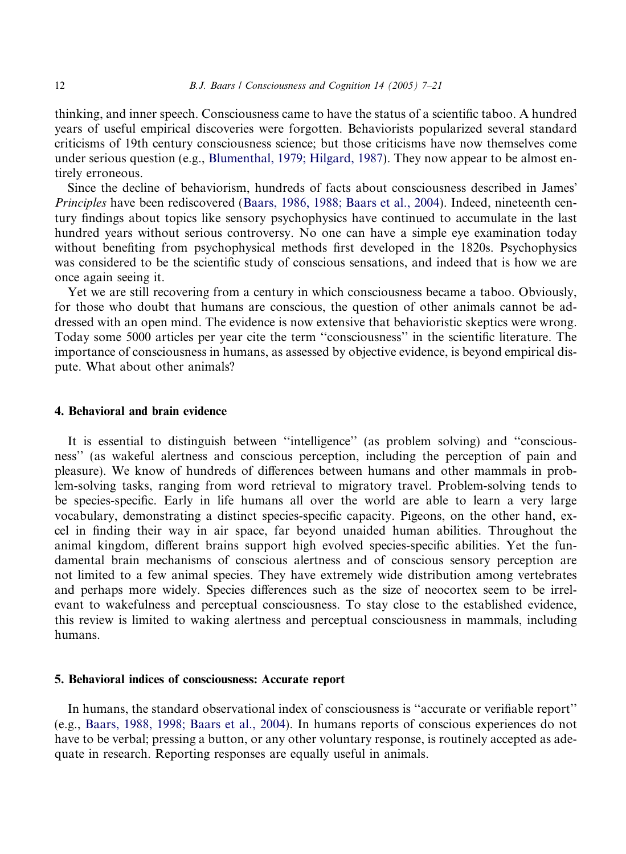thinking, and inner speech. Consciousness came to have the status of a scientific taboo. A hundred years of useful empirical discoveries were forgotten. Behaviorists popularized several standard criticisms of 19th century consciousness science; but those criticisms have now themselves come under serious question (e.g., [Blumenthal,](#page-13-0) 1979; Hilgard, 1987). They now appear to be almost entirely erroneous.

Since the decline of behaviorism, hundreds of facts about consciousness described in James' Principles have been rediscovered [\(Baars,](#page-12-0) 1986, 1988; Baars et al., 2004). Indeed, nineteenth century findings about topics like sensory psychophysics have continued to accumulate in the last hundred years without serious controversy. No one can have a simple eye examination today without benefiting from psychophysical methods first developed in the 1820s. Psychophysics was considered to be the scientific study of conscious sensations, and indeed that is how we are once again seeing it.

Yet we are still recovering from a century in which consciousness became a taboo. Obviously, for those who doubt that humans are conscious, the question of other animals cannot be addressed with an open mind. The evidence is now extensive that behavioristic skeptics were wrong. Today some 5000 articles per year cite the term ''consciousness'' in the scientific literature. The importance of consciousness in humans, as assessed by objective evidence, is beyond empirical dispute. What about other animals?

# 4. Behavioral and brain evidence

It is essential to distinguish between ''intelligence'' (as problem solving) and ''consciousness'' (as wakeful alertness and conscious perception, including the perception of pain and pleasure). We know of hundreds of differences between humans and other mammals in problem-solving tasks, ranging from word retrieval to migratory travel. Problem-solving tends to be species-specific. Early in life humans all over the world are able to learn a very large vocabulary, demonstrating a distinct species-specific capacity. Pigeons, on the other hand, excel in finding their way in air space, far beyond unaided human abilities. Throughout the animal kingdom, different brains support high evolved species-specific abilities. Yet the fundamental brain mechanisms of conscious alertness and of conscious sensory perception are not limited to a few animal species. They have extremely wide distribution among vertebrates and perhaps more widely. Species differences such as the size of neocortex seem to be irrelevant to wakefulness and perceptual consciousness. To stay close to the established evidence, this review is limited to waking alertness and perceptual consciousness in mammals, including humans.

## 5. Behavioral indices of consciousness: Accurate report

In humans, the standard observational index of consciousness is ''accurate or verifiable report'' (e.g., [Baars,](#page-12-0) 1988, 1998; Baars et al., 2004). In humans reports of conscious experiences do not have to be verbal; pressing a button, or any other voluntary response, is routinely accepted as adequate in research. Reporting responses are equally useful in animals.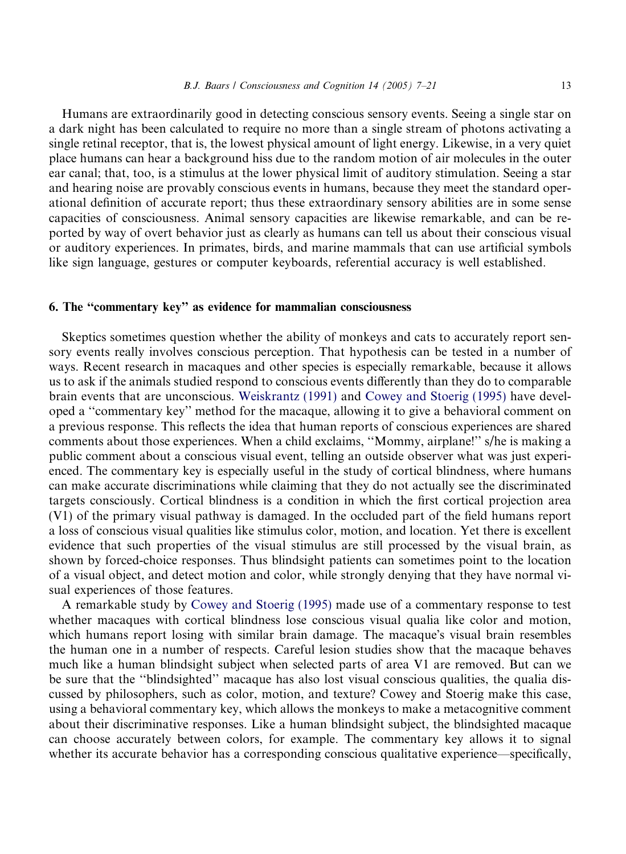Humans are extraordinarily good in detecting conscious sensory events. Seeing a single star on a dark night has been calculated to require no more than a single stream of photons activating a single retinal receptor, that is, the lowest physical amount of light energy. Likewise, in a very quiet place humans can hear a background hiss due to the random motion of air molecules in the outer ear canal; that, too, is a stimulus at the lower physical limit of auditory stimulation. Seeing a star and hearing noise are provably conscious events in humans, because they meet the standard operational definition of accurate report; thus these extraordinary sensory abilities are in some sense capacities of consciousness. Animal sensory capacities are likewise remarkable, and can be reported by way of overt behavior just as clearly as humans can tell us about their conscious visual or auditory experiences. In primates, birds, and marine mammals that can use artificial symbols like sign language, gestures or computer keyboards, referential accuracy is well established.

# 6. The ''commentary key'' as evidence for mammalian consciousness

Skeptics sometimes question whether the ability of monkeys and cats to accurately report sensory events really involves conscious perception. That hypothesis can be tested in a number of ways. Recent research in macaques and other species is especially remarkable, because it allows us to ask if the animals studied respond to conscious events differently than they do to comparable brain events that are unconscious. [Weiskrantz](#page-14-0) (1991) and Cowey and [Stoerig](#page-13-0) (1995) have developed a ''commentary key'' method for the macaque, allowing it to give a behavioral comment on a previous response. This reflects the idea that human reports of conscious experiences are shared comments about those experiences. When a child exclaims, ''Mommy, airplane!'' s/he is making a public comment about a conscious visual event, telling an outside observer what was just experienced. The commentary key is especially useful in the study of cortical blindness, where humans can make accurate discriminations while claiming that they do not actually see the discriminated targets consciously. Cortical blindness is a condition in which the first cortical projection area (V1) of the primary visual pathway is damaged. In the occluded part of the field humans report a loss of conscious visual qualities like stimulus color, motion, and location. Yet there is excellent evidence that such properties of the visual stimulus are still processed by the visual brain, as shown by forced-choice responses. Thus blindsight patients can sometimes point to the location of a visual object, and detect motion and color, while strongly denying that they have normal visual experiences of those features.

A remarkable study by Cowey and [Stoerig](#page-13-0) (1995) made use of a commentary response to test whether macaques with cortical blindness lose conscious visual qualia like color and motion, which humans report losing with similar brain damage. The macaque's visual brain resembles the human one in a number of respects. Careful lesion studies show that the macaque behaves much like a human blindsight subject when selected parts of area V1 are removed. But can we be sure that the ''blindsighted'' macaque has also lost visual conscious qualities, the qualia discussed by philosophers, such as color, motion, and texture? Cowey and Stoerig make this case, using a behavioral commentary key, which allows the monkeys to make a metacognitive comment about their discriminative responses. Like a human blindsight subject, the blindsighted macaque can choose accurately between colors, for example. The commentary key allows it to signal whether its accurate behavior has a corresponding conscious qualitative experience—specifically,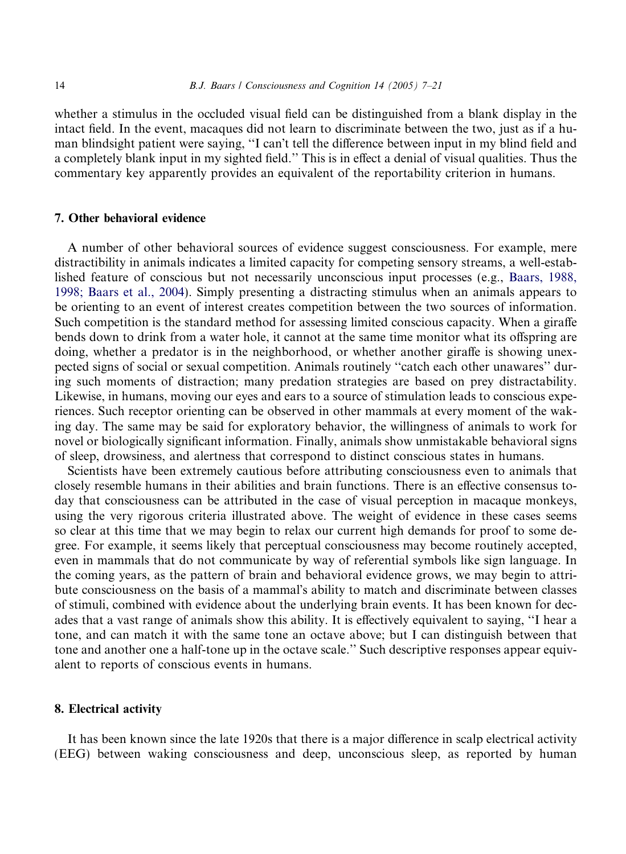whether a stimulus in the occluded visual field can be distinguished from a blank display in the intact field. In the event, macaques did not learn to discriminate between the two, just as if a human blindsight patient were saying, "I can't tell the difference between input in my blind field and a completely blank input in my sighted field.'' This is in effect a denial of visual qualities. Thus the commentary key apparently provides an equivalent of the reportability criterion in humans.

# 7. Other behavioral evidence

A number of other behavioral sources of evidence suggest consciousness. For example, mere distractibility in animals indicates a limited capacity for competing sensory streams, a well-established feature of conscious but not necessarily unconscious input processes (e.g., [Baars,](#page-12-0) 1988, 1998; [Baars](#page-12-0) et al., 2004). Simply presenting a distracting stimulus when an animals appears to be orienting to an event of interest creates competition between the two sources of information. Such competition is the standard method for assessing limited conscious capacity. When a giraffe bends down to drink from a water hole, it cannot at the same time monitor what its offspring are doing, whether a predator is in the neighborhood, or whether another giraffe is showing unexpected signs of social or sexual competition. Animals routinely ''catch each other unawares'' during such moments of distraction; many predation strategies are based on prey distractability. Likewise, in humans, moving our eyes and ears to a source of stimulation leads to conscious experiences. Such receptor orienting can be observed in other mammals at every moment of the waking day. The same may be said for exploratory behavior, the willingness of animals to work for novel or biologically significant information. Finally, animals show unmistakable behavioral signs of sleep, drowsiness, and alertness that correspond to distinct conscious states in humans.

Scientists have been extremely cautious before attributing consciousness even to animals that closely resemble humans in their abilities and brain functions. There is an effective consensus today that consciousness can be attributed in the case of visual perception in macaque monkeys, using the very rigorous criteria illustrated above. The weight of evidence in these cases seems so clear at this time that we may begin to relax our current high demands for proof to some degree. For example, it seems likely that perceptual consciousness may become routinely accepted, even in mammals that do not communicate by way of referential symbols like sign language. In the coming years, as the pattern of brain and behavioral evidence grows, we may begin to attribute consciousness on the basis of a mammal's ability to match and discriminate between classes of stimuli, combined with evidence about the underlying brain events. It has been known for decades that a vast range of animals show this ability. It is effectively equivalent to saying, ''I hear a tone, and can match it with the same tone an octave above; but I can distinguish between that tone and another one a half-tone up in the octave scale.'' Such descriptive responses appear equivalent to reports of conscious events in humans.

#### 8. Electrical activity

It has been known since the late 1920s that there is a major difference in scalp electrical activity (EEG) between waking consciousness and deep, unconscious sleep, as reported by human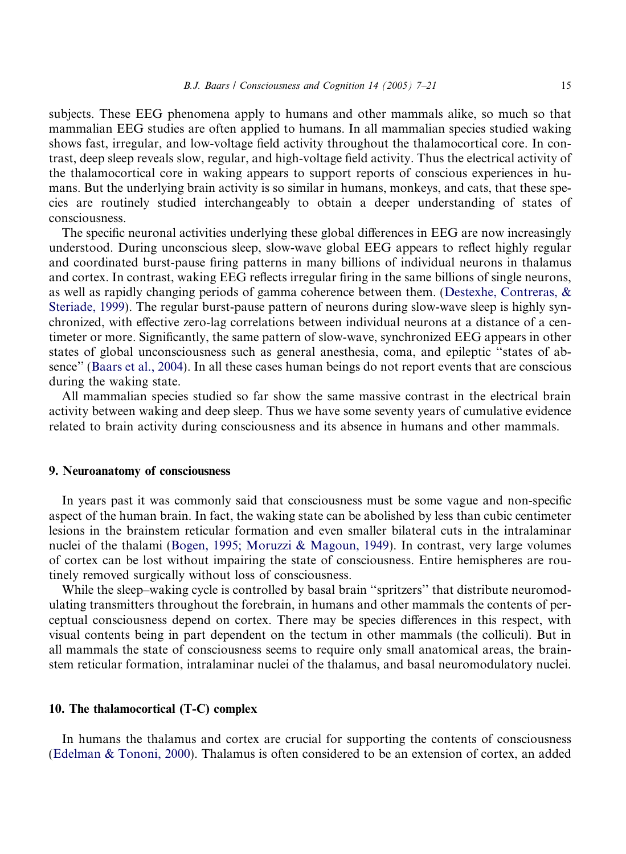subjects. These EEG phenomena apply to humans and other mammals alike, so much so that mammalian EEG studies are often applied to humans. In all mammalian species studied waking shows fast, irregular, and low-voltage field activity throughout the thalamocortical core. In contrast, deep sleep reveals slow, regular, and high-voltage field activity. Thus the electrical activity of the thalamocortical core in waking appears to support reports of conscious experiences in humans. But the underlying brain activity is so similar in humans, monkeys, and cats, that these species are routinely studied interchangeably to obtain a deeper understanding of states of consciousness.

The specific neuronal activities underlying these global differences in EEG are now increasingly understood. During unconscious sleep, slow-wave global EEG appears to reflect highly regular and coordinated burst-pause firing patterns in many billions of individual neurons in thalamus and cortex. In contrast, waking EEG reflects irregular firing in the same billions of single neurons, as well as rapidly changing periods of gamma coherence between them. (Destexhe, [Contreras,](#page-13-0) & [Steriade,](#page-13-0) 1999). The regular burst-pause pattern of neurons during slow-wave sleep is highly synchronized, with effective zero-lag correlations between individual neurons at a distance of a centimeter or more. Significantly, the same pattern of slow-wave, synchronized EEG appears in other states of global unconsciousness such as general anesthesia, coma, and epileptic ''states of absence'' [\(Baars](#page-12-0) et al., 2004). In all these cases human beings do not report events that are conscious during the waking state.

All mammalian species studied so far show the same massive contrast in the electrical brain activity between waking and deep sleep. Thus we have some seventy years of cumulative evidence related to brain activity during consciousness and its absence in humans and other mammals.

## 9. Neuroanatomy of consciousness

In years past it was commonly said that consciousness must be some vague and non-specific aspect of the human brain. In fact, the waking state can be abolished by less than cubic centimeter lesions in the brainstem reticular formation and even smaller bilateral cuts in the intralaminar nuclei of the thalami (Bogen, 1995; Moruzzi & [Magoun,](#page-13-0) 1949). In contrast, very large volumes of cortex can be lost without impairing the state of consciousness. Entire hemispheres are routinely removed surgically without loss of consciousness.

While the sleep–waking cycle is controlled by basal brain ''spritzers'' that distribute neuromodulating transmitters throughout the forebrain, in humans and other mammals the contents of perceptual consciousness depend on cortex. There may be species differences in this respect, with visual contents being in part dependent on the tectum in other mammals (the colliculi). But in all mammals the state of consciousness seems to require only small anatomical areas, the brainstem reticular formation, intralaminar nuclei of the thalamus, and basal neuromodulatory nuclei.

# 10. The thalamocortical (T-C) complex

In humans the thalamus and cortex are crucial for supporting the contents of consciousness [\(Edelman](#page-13-0) & Tononi, 2000). Thalamus is often considered to be an extension of cortex, an added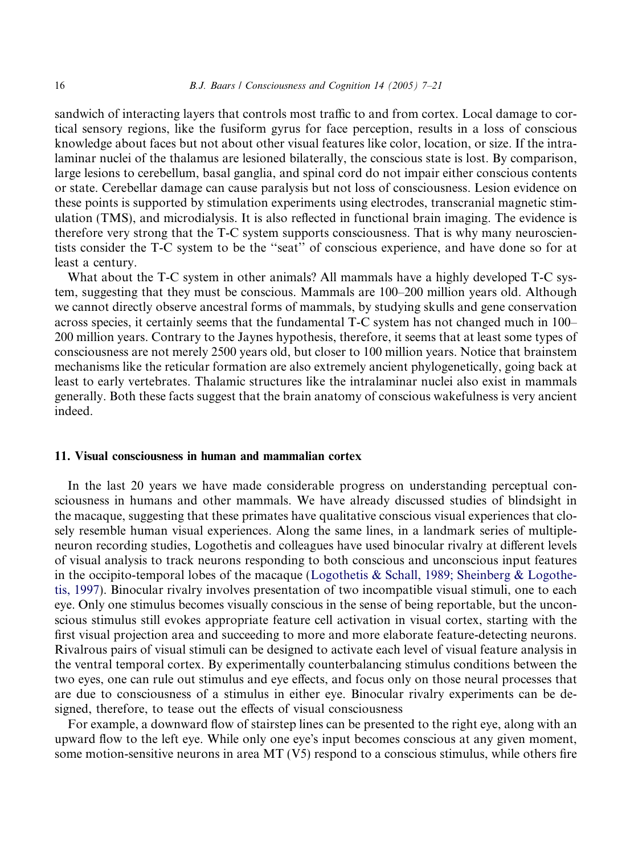sandwich of interacting layers that controls most traffic to and from cortex. Local damage to cortical sensory regions, like the fusiform gyrus for face perception, results in a loss of conscious knowledge about faces but not about other visual features like color, location, or size. If the intralaminar nuclei of the thalamus are lesioned bilaterally, the conscious state is lost. By comparison, large lesions to cerebellum, basal ganglia, and spinal cord do not impair either conscious contents or state. Cerebellar damage can cause paralysis but not loss of consciousness. Lesion evidence on these points is supported by stimulation experiments using electrodes, transcranial magnetic stimulation (TMS), and microdialysis. It is also reflected in functional brain imaging. The evidence is therefore very strong that the T-C system supports consciousness. That is why many neuroscientists consider the T-C system to be the ''seat'' of conscious experience, and have done so for at least a century.

What about the T-C system in other animals? All mammals have a highly developed T-C system, suggesting that they must be conscious. Mammals are 100–200 million years old. Although we cannot directly observe ancestral forms of mammals, by studying skulls and gene conservation across species, it certainly seems that the fundamental T-C system has not changed much in 100– 200 million years. Contrary to the Jaynes hypothesis, therefore, it seems that at least some types of consciousness are not merely 2500 years old, but closer to 100 million years. Notice that brainstem mechanisms like the reticular formation are also extremely ancient phylogenetically, going back at least to early vertebrates. Thalamic structures like the intralaminar nuclei also exist in mammals generally. Both these facts suggest that the brain anatomy of conscious wakefulness is very ancient indeed.

## 11. Visual consciousness in human and mammalian cortex

In the last 20 years we have made considerable progress on understanding perceptual consciousness in humans and other mammals. We have already discussed studies of blindsight in the macaque, suggesting that these primates have qualitative conscious visual experiences that closely resemble human visual experiences. Along the same lines, in a landmark series of multipleneuron recording studies, Logothetis and colleagues have used binocular rivalry at different levels of visual analysis to track neurons responding to both conscious and unconscious input features in the occipito-temporal lobes of the macaque ([Logothetis](#page-13-0) & Schall, 1989; Sheinberg & Logothetis, [1997](#page-13-0)). Binocular rivalry involves presentation of two incompatible visual stimuli, one to each eye. Only one stimulus becomes visually conscious in the sense of being reportable, but the unconscious stimulus still evokes appropriate feature cell activation in visual cortex, starting with the first visual projection area and succeeding to more and more elaborate feature-detecting neurons. Rivalrous pairs of visual stimuli can be designed to activate each level of visual feature analysis in the ventral temporal cortex. By experimentally counterbalancing stimulus conditions between the two eyes, one can rule out stimulus and eye effects, and focus only on those neural processes that are due to consciousness of a stimulus in either eye. Binocular rivalry experiments can be designed, therefore, to tease out the effects of visual consciousness

For example, a downward flow of stairstep lines can be presented to the right eye, along with an upward flow to the left eye. While only one eye's input becomes conscious at any given moment, some motion-sensitive neurons in area MT  $(V5)$  respond to a conscious stimulus, while others fire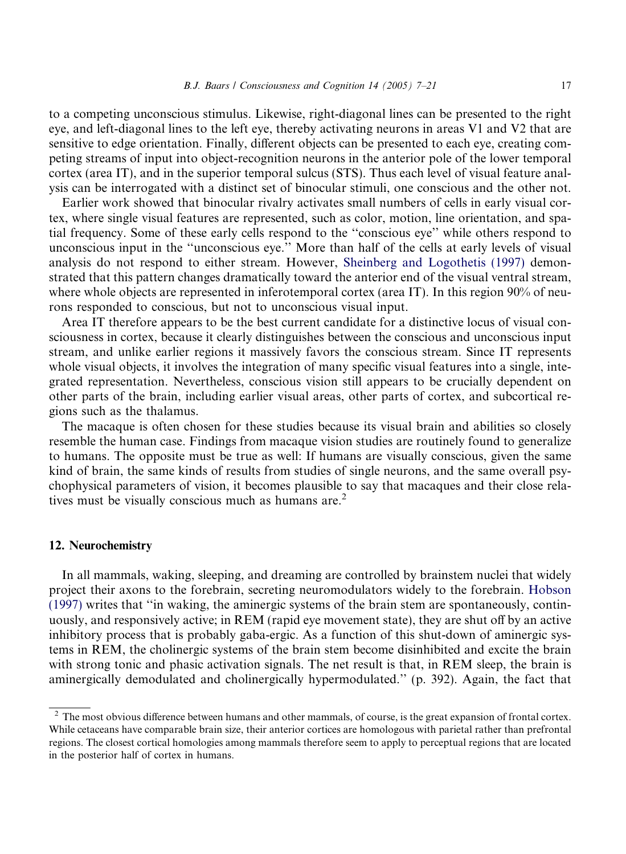to a competing unconscious stimulus. Likewise, right-diagonal lines can be presented to the right eye, and left-diagonal lines to the left eye, thereby activating neurons in areas V1 and V2 that are sensitive to edge orientation. Finally, different objects can be presented to each eye, creating competing streams of input into object-recognition neurons in the anterior pole of the lower temporal cortex (area IT), and in the superior temporal sulcus (STS). Thus each level of visual feature analysis can be interrogated with a distinct set of binocular stimuli, one conscious and the other not.

Earlier work showed that binocular rivalry activates small numbers of cells in early visual cortex, where single visual features are represented, such as color, motion, line orientation, and spatial frequency. Some of these early cells respond to the ''conscious eye'' while others respond to unconscious input in the ''unconscious eye.'' More than half of the cells at early levels of visual analysis do not respond to either stream. However, Sheinberg and [Logothetis](#page-13-0) (1997) demonstrated that this pattern changes dramatically toward the anterior end of the visual ventral stream, where whole objects are represented in inferotemporal cortex (area IT). In this region 90% of neurons responded to conscious, but not to unconscious visual input.

Area IT therefore appears to be the best current candidate for a distinctive locus of visual consciousness in cortex, because it clearly distinguishes between the conscious and unconscious input stream, and unlike earlier regions it massively favors the conscious stream. Since IT represents whole visual objects, it involves the integration of many specific visual features into a single, integrated representation. Nevertheless, conscious vision still appears to be crucially dependent on other parts of the brain, including earlier visual areas, other parts of cortex, and subcortical regions such as the thalamus.

The macaque is often chosen for these studies because its visual brain and abilities so closely resemble the human case. Findings from macaque vision studies are routinely found to generalize to humans. The opposite must be true as well: If humans are visually conscious, given the same kind of brain, the same kinds of results from studies of single neurons, and the same overall psychophysical parameters of vision, it becomes plausible to say that macaques and their close relatives must be visually conscious much as humans are.<sup>2</sup>

## 12. Neurochemistry

In all mammals, waking, sleeping, and dreaming are controlled by brainstem nuclei that widely project their axons to the forebrain, secreting neuromodulators widely to the forebrain. [Hobson](#page-13-0) [\(1997\)](#page-13-0) writes that ''in waking, the aminergic systems of the brain stem are spontaneously, continuously, and responsively active; in REM (rapid eye movement state), they are shut off by an active inhibitory process that is probably gaba-ergic. As a function of this shut-down of aminergic systems in REM, the cholinergic systems of the brain stem become disinhibited and excite the brain with strong tonic and phasic activation signals. The net result is that, in REM sleep, the brain is aminergically demodulated and cholinergically hypermodulated.'' (p. 392). Again, the fact that

<sup>&</sup>lt;sup>2</sup> The most obvious difference between humans and other mammals, of course, is the great expansion of frontal cortex. While cetaceans have comparable brain size, their anterior cortices are homologous with parietal rather than prefrontal regions. The closest cortical homologies among mammals therefore seem to apply to perceptual regions that are located in the posterior half of cortex in humans.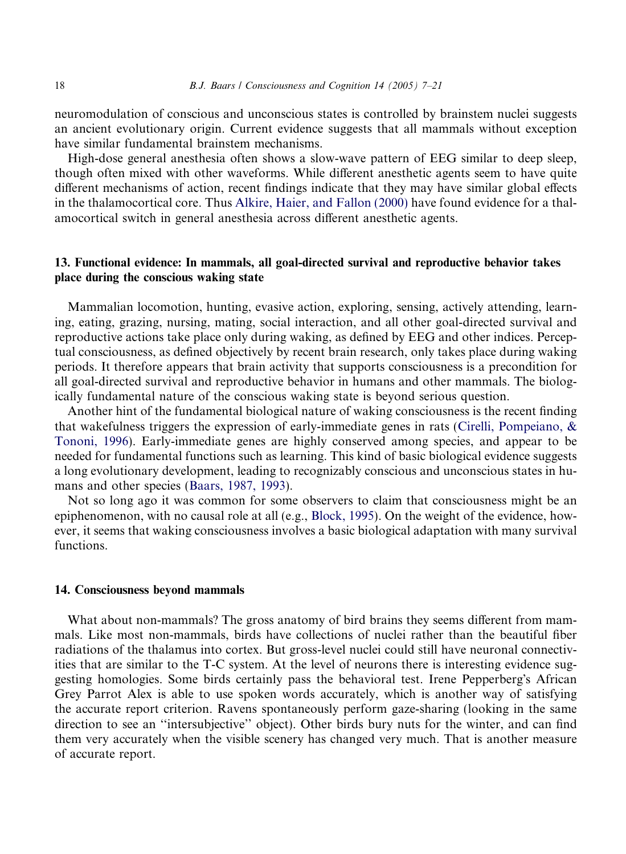neuromodulation of conscious and unconscious states is controlled by brainstem nuclei suggests an ancient evolutionary origin. Current evidence suggests that all mammals without exception have similar fundamental brainstem mechanisms.

High-dose general anesthesia often shows a slow-wave pattern of EEG similar to deep sleep, though often mixed with other waveforms. While different anesthetic agents seem to have quite different mechanisms of action, recent findings indicate that they may have similar global effects in the thalamocortical core. Thus [Alkire,](#page-12-0) Haier, and Fallon (2000) have found evidence for a thalamocortical switch in general anesthesia across different anesthetic agents.

# 13. Functional evidence: In mammals, all goal-directed survival and reproductive behavior takes place during the conscious waking state

Mammalian locomotion, hunting, evasive action, exploring, sensing, actively attending, learning, eating, grazing, nursing, mating, social interaction, and all other goal-directed survival and reproductive actions take place only during waking, as defined by EEG and other indices. Perceptual consciousness, as defined objectively by recent brain research, only takes place during waking periods. It therefore appears that brain activity that supports consciousness is a precondition for all goal-directed survival and reproductive behavior in humans and other mammals. The biologically fundamental nature of the conscious waking state is beyond serious question.

Another hint of the fundamental biological nature of waking consciousness is the recent finding that wakefulness triggers the expression of early-immediate genes in rats (Cirelli, [Pompeiano,](#page-13-0) & [Tononi,](#page-13-0) 1996). Early-immediate genes are highly conserved among species, and appear to be needed for fundamental functions such as learning. This kind of basic biological evidence suggests a long evolutionary development, leading to recognizably conscious and unconscious states in humans and other species ([Baars,](#page-12-0) 1987, 1993).

Not so long ago it was common for some observers to claim that consciousness might be an epiphenomenon, with no causal role at all (e.g., [Block,](#page-13-0) 1995). On the weight of the evidence, however, it seems that waking consciousness involves a basic biological adaptation with many survival functions.

#### 14. Consciousness beyond mammals

What about non-mammals? The gross anatomy of bird brains they seems different from mammals. Like most non-mammals, birds have collections of nuclei rather than the beautiful fiber radiations of the thalamus into cortex. But gross-level nuclei could still have neuronal connectivities that are similar to the T-C system. At the level of neurons there is interesting evidence suggesting homologies. Some birds certainly pass the behavioral test. Irene Pepperberg's African Grey Parrot Alex is able to use spoken words accurately, which is another way of satisfying the accurate report criterion. Ravens spontaneously perform gaze-sharing (looking in the same direction to see an ''intersubjective'' object). Other birds bury nuts for the winter, and can find them very accurately when the visible scenery has changed very much. That is another measure of accurate report.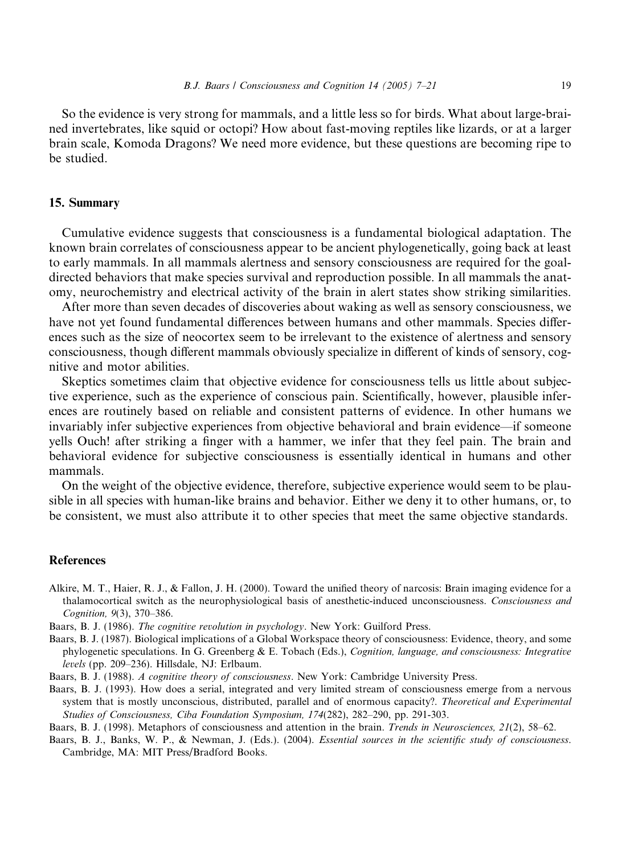<span id="page-12-0"></span>So the evidence is very strong for mammals, and a little less so for birds. What about large-brained invertebrates, like squid or octopi? How about fast-moving reptiles like lizards, or at a larger brain scale, Komoda Dragons? We need more evidence, but these questions are becoming ripe to be studied.

# 15. Summary

Cumulative evidence suggests that consciousness is a fundamental biological adaptation. The known brain correlates of consciousness appear to be ancient phylogenetically, going back at least to early mammals. In all mammals alertness and sensory consciousness are required for the goaldirected behaviors that make species survival and reproduction possible. In all mammals the anatomy, neurochemistry and electrical activity of the brain in alert states show striking similarities.

After more than seven decades of discoveries about waking as well as sensory consciousness, we have not yet found fundamental differences between humans and other mammals. Species differences such as the size of neocortex seem to be irrelevant to the existence of alertness and sensory consciousness, though different mammals obviously specialize in different of kinds of sensory, cognitive and motor abilities.

Skeptics sometimes claim that objective evidence for consciousness tells us little about subjective experience, such as the experience of conscious pain. Scientifically, however, plausible inferences are routinely based on reliable and consistent patterns of evidence. In other humans we invariably infer subjective experiences from objective behavioral and brain evidence—if someone yells Ouch! after striking a finger with a hammer, we infer that they feel pain. The brain and behavioral evidence for subjective consciousness is essentially identical in humans and other mammals.

On the weight of the objective evidence, therefore, subjective experience would seem to be plausible in all species with human-like brains and behavior. Either we deny it to other humans, or, to be consistent, we must also attribute it to other species that meet the same objective standards.

# **References**

- Alkire, M. T., Haier, R. J., & Fallon, J. H. (2000). Toward the unified theory of narcosis: Brain imaging evidence for a thalamocortical switch as the neurophysiological basis of anesthetic-induced unconsciousness. Consciousness and Cognition, 9(3), 370–386.
- Baars, B. J. (1986). The cognitive revolution in psychology. New York: Guilford Press.
- Baars, B. J. (1987). Biological implications of a Global Workspace theory of consciousness: Evidence, theory, and some phylogenetic speculations. In G. Greenberg & E. Tobach (Eds.), Cognition, language, and consciousness: Integrative levels (pp. 209–236). Hillsdale, NJ: Erlbaum.
- Baars, B. J. (1988). A cognitive theory of consciousness. New York: Cambridge University Press.
- Baars, B. J. (1993). How does a serial, integrated and very limited stream of consciousness emerge from a nervous system that is mostly unconscious, distributed, parallel and of enormous capacity?. Theoretical and Experimental Studies of Consciousness, Ciba Foundation Symposium, 174(282), 282–290, pp. 291-303.

Baars, B. J. (1998). Metaphors of consciousness and attention in the brain. Trends in Neurosciences, 21(2), 58–62.

Baars, B. J., Banks, W. P., & Newman, J. (Eds.). (2004). Essential sources in the scientific study of consciousness. Cambridge, MA: MIT Press/Bradford Books.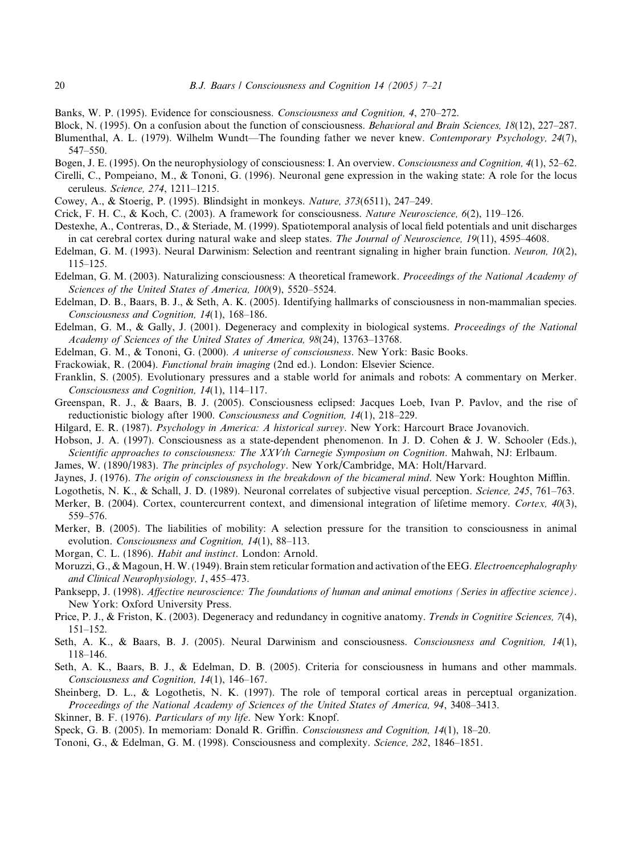- <span id="page-13-0"></span>Banks, W. P. (1995). Evidence for consciousness. Consciousness and Cognition, 4, 270–272.
- Block, N. (1995). On a confusion about the function of consciousness. Behavioral and Brain Sciences, 18(12), 227–287. Blumenthal, A. L. (1979). Wilhelm Wundt—The founding father we never knew. Contemporary Psychology, 24(7),
- Bogen, J. E. (1995). On the neurophysiology of consciousness: I. An overview. Consciousness and Cognition, 4(1), 52–62.
- Cirelli, C., Pompeiano, M., & Tononi, G. (1996). Neuronal gene expression in the waking state: A role for the locus ceruleus. Science, 274, 1211–1215.
- Cowey, A., & Stoerig, P. (1995). Blindsight in monkeys. Nature, 373(6511), 247–249.
- Crick, F. H. C., & Koch, C. (2003). A framework for consciousness. Nature Neuroscience, 6(2), 119–126.
- Destexhe, A., Contreras, D., & Steriade, M. (1999). Spatiotemporal analysis of local field potentials and unit discharges in cat cerebral cortex during natural wake and sleep states. The Journal of Neuroscience, 19(11), 4595–4608.
- Edelman, G. M. (1993). Neural Darwinism: Selection and reentrant signaling in higher brain function. Neuron, 10(2), 115–125.
- Edelman, G. M. (2003). Naturalizing consciousness: A theoretical framework. Proceedings of the National Academy of Sciences of the United States of America, 100(9), 5520–5524.
- Edelman, D. B., Baars, B. J., & Seth, A. K. (2005). Identifying hallmarks of consciousness in non-mammalian species. Consciousness and Cognition, 14(1), 168–186.
- Edelman, G. M., & Gally, J. (2001). Degeneracy and complexity in biological systems. Proceedings of the National Academy of Sciences of the United States of America, 98(24), 13763–13768.
- Edelman, G. M., & Tononi, G. (2000). A universe of consciousness. New York: Basic Books.
- Frackowiak, R. (2004). Functional brain imaging (2nd ed.). London: Elsevier Science.
- Franklin, S. (2005). Evolutionary pressures and a stable world for animals and robots: A commentary on Merker. Consciousness and Cognition, 14(1), 114–117.
- Greenspan, R. J., & Baars, B. J. (2005). Consciousness eclipsed: Jacques Loeb, Ivan P. Pavlov, and the rise of reductionistic biology after 1900. Consciousness and Cognition, 14(1), 218–229.
- Hilgard, E. R. (1987). Psychology in America: A historical survey. New York: Harcourt Brace Jovanovich.
- Hobson, J. A. (1997). Consciousness as a state-dependent phenomenon. In J. D. Cohen & J. W. Schooler (Eds.), Scientific approaches to consciousness: The XXVth Carnegie Symposium on Cognition. Mahwah, NJ: Erlbaum.
- James, W. (1890/1983). The principles of psychology. New York/Cambridge, MA: Holt/Harvard.
- Jaynes, J. (1976). The origin of consciousness in the breakdown of the bicameral mind. New York: Houghton Mifflin.
- Logothetis, N. K., & Schall, J. D. (1989). Neuronal correlates of subjective visual perception. Science, 245, 761–763.
- Merker, B. (2004). Cortex, countercurrent context, and dimensional integration of lifetime memory. Cortex, 40(3), 559–576.
- Merker, B. (2005). The liabilities of mobility: A selection pressure for the transition to consciousness in animal evolution. Consciousness and Cognition, 14(1), 88–113.
- Morgan, C. L. (1896). Habit and instinct. London: Arnold.
- Moruzzi, G., & Magoun, H. W. (1949). Brain stem reticular formation and activation of the EEG. Electroencephalography and Clinical Neurophysiology, 1, 455–473.
- Panksepp, J. (1998). Affective neuroscience: The foundations of human and animal emotions (Series in affective science). New York: Oxford University Press.
- Price, P. J., & Friston, K. (2003). Degeneracy and redundancy in cognitive anatomy. Trends in Cognitive Sciences, 7(4), 151–152.
- Seth, A. K., & Baars, B. J. (2005). Neural Darwinism and consciousness. Consciousness and Cognition, 14(1), 118–146.
- Seth, A. K., Baars, B. J., & Edelman, D. B. (2005). Criteria for consciousness in humans and other mammals. Consciousness and Cognition, 14(1), 146–167.
- Sheinberg, D. L., & Logothetis, N. K. (1997). The role of temporal cortical areas in perceptual organization. Proceedings of the National Academy of Sciences of the United States of America, 94, 3408–3413.
- Skinner, B. F. (1976). Particulars of my life. New York: Knopf.
- Speck, G. B. (2005). In memoriam: Donald R. Griffin. Consciousness and Cognition, 14(1), 18–20.
- Tononi, G., & Edelman, G. M. (1998). Consciousness and complexity. Science, 282, 1846–1851.

547–550.